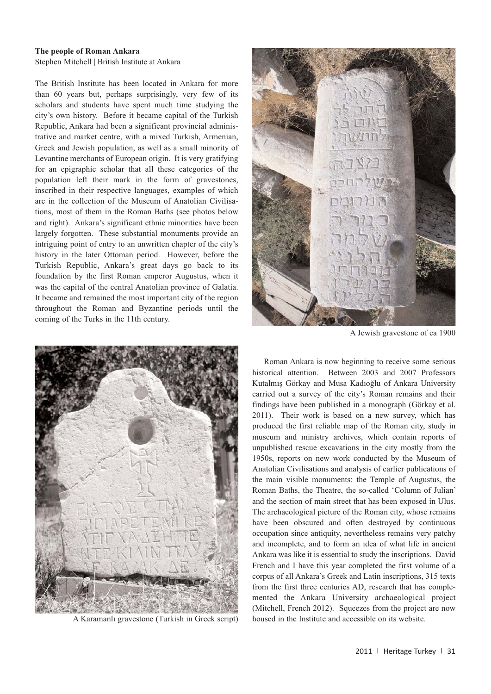Heritage Turkey volume 1 (2011) pp. 31-34 | doi:10.18866/biaa2015.019 | published online: 27 October 2015 © British Institute at Ankara

## **The people of Roman Ankara**

Stephen Mitchell | British Institute at Ankara

The British Institute has been located in Ankara for more than 60 years but, perhaps surprisingly, very few of its scholars and students have spent much time studying the city's own history. Before it became capital of the Turkish Republic, Ankara had been a significant provincial administrative and market centre, with a mixed Turkish, Armenian, Greek and Jewish population, as well as a small minority of Levantine merchants of European origin. It is very gratifying for an epigraphic scholar that all these categories of the population left their mark in the form of gravestones, inscribed in their respective languages, examples of which are in the collection of the Museum of Anatolian Civilisations, most of them in the Roman Baths (see photos below and right). Ankara's significant ethnic minorities have been largely forgotten. These substantial monuments provide an intriguing point of entry to an unwritten chapter of the city's history in the later Ottoman period. However, before the Turkish Republic, Ankara's great days go back to its foundation by the first Roman emperor Augustus, when it was the capital of the central Anatolian province of Galatia. It became and remained the most important city of the region throughout the Roman and Byzantine periods until the coming of the Turks in the 11th century.



A Karamanlı gravestone (Turkish in Greek script)



A Jewish gravestone of ca 1900

Roman Ankara is now beginning to receive some serious historical attention. Between 2003 and 2007 Professors Kutalmış Görkay and Musa Kadıoğlu of Ankara University carried out a survey of the city's Roman remains and their findings have been published in a monograph (Görkay et al. 2011). Their work is based on a new survey, which has produced the first reliable map of the Roman city, study in museum and ministry archives, which contain reports of unpublished rescue excavations in the city mostly from the 1950s, reports on new work conducted by the Museum of Anatolian Civilisations and analysis of earlier publications of the main visible monuments: the Temple of Augustus, the Roman Baths, the Theatre, the so-called 'Column of Julian' and the section of main street that has been exposed in Ulus. The archaeological picture of the Roman city, whose remains have been obscured and often destroyed by continuous occupation since antiquity, nevertheless remains very patchy and incomplete, and to form an idea of what life in ancient Ankara was like it is essential to study the inscriptions. David French and I have this year completed the first volume of a corpus of all Ankara's Greek and Latin inscriptions, 315 texts from the first three centuries AD, research that has complemented the Ankara University archaeological project (Mitchell, French 2012). Squeezes from the project are now housed in the Institute and accessible on its website.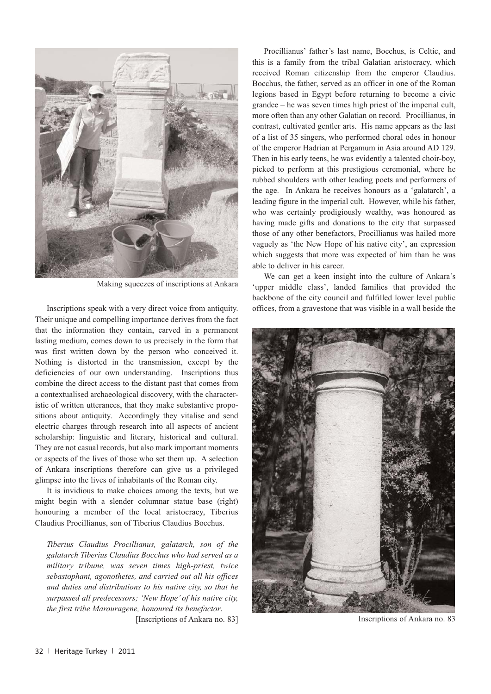

Making squeezes of inscriptions at Ankara

Inscriptions speak with a very direct voice from antiquity. Their unique and compelling importance derives from the fact that the information they contain, carved in a permanent lasting medium, comes down to us precisely in the form that was first written down by the person who conceived it. Nothing is distorted in the transmission, except by the deficiencies of our own understanding. Inscriptions thus combine the direct access to the distant past that comes from a contextualised archaeological discovery, with the characteristic of written utterances, that they make substantive propositions about antiquity. Accordingly they vitalise and send electric charges through research into all aspects of ancient scholarship: linguistic and literary, historical and cultural. They are not casual records, but also mark important moments or aspects of the lives of those who set them up. A selection of Ankara inscriptions therefore can give us a privileged glimpse into the lives of inhabitants of the Roman city.

It is invidious to make choices among the texts, but we might begin with a slender columnar statue base (right) honouring a member of the local aristocracy, Tiberius Claudius Procillianus, son of Tiberius Claudius Bocchus.

*Tiberius Claudius Procillianus, galatarch, son of the galatarch Tiberius Claudius Bocchus who had served as a military tribune, was seven times high-priest, twice sebastophant, agonothetes, and carried out all his offices and duties and distributions to his native city, so that he surpassed all predecessors; 'New Hope' of his native city, the first tribe Marouragene, honoured its benefactor*.

[Inscriptions of Ankara no. 83]

Procillianus' father's last name, Bocchus, is Celtic, and this is a family from the tribal Galatian aristocracy, which received Roman citizenship from the emperor Claudius. Bocchus, the father, served as an officer in one of the Roman legions based in Egypt before returning to become a civic grandee – he was seven times high priest of the imperial cult, more often than any other Galatian on record. Procillianus, in contrast, cultivated gentler arts. His name appears as the last of a list of 35 singers, who performed choral odes in honour of the emperor Hadrian at Pergamum in Asia around AD 129. Then in his early teens, he was evidently a talented choir-boy, picked to perform at this prestigious ceremonial, where he rubbed shoulders with other leading poets and performers of the age. In Ankara he receives honours as a 'galatarch', a leading figure in the imperial cult. However, while his father, who was certainly prodigiously wealthy, was honoured as having made gifts and donations to the city that surpassed those of any other benefactors, Procillianus was hailed more vaguely as 'the New Hope of his native city', an expression which suggests that more was expected of him than he was able to deliver in his career.

We can get a keen insight into the culture of Ankara's 'upper middle class', landed families that provided the backbone of the city council and fulfilled lower level public offices, from a gravestone that was visible in a wall beside the



Inscriptions of Ankara no. 83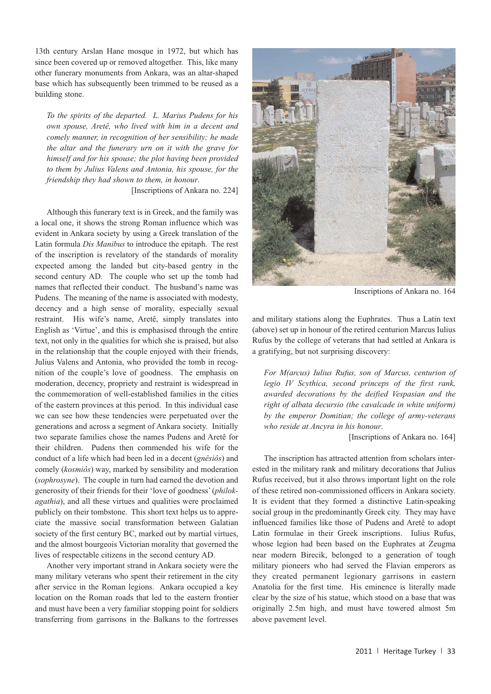13th century Arslan Hane mosque in 1972, but which has since been covered up or removed altogether. This, like many other funerary monuments from Ankara, was an altar-shaped base which has subsequently been trimmed to be reused as a building stone.

*To the spirits of the departed. L. Marius Pudens for his own spouse, Aretê, who lived with him in a decent and comely manner, in recognition of her sensibility; he made the altar and the funerary urn on it with the grave for himself and for his spouse; the plot having been provided to them by Julius Valens and Antonia, his spouse, for the friendship they had shown to them, in honour*.

[Inscriptions of Ankara no. 224]

Although this funerary text is in Greek, and the family was a local one, it shows the strong Roman influence which was evident in Ankara society by using a Greek translation of the Latin formula *Dis Manibus* to introduce the epitaph. The rest of the inscription is revelatory of the standards of morality expected among the landed but city-based gentry in the second century AD. The couple who set up the tomb had names that reflected their conduct. The husband's name was Pudens. The meaning of the name is associated with modesty, decency and a high sense of morality, especially sexual restraint. His wife's name, Aretê, simply translates into English as 'Virtue', and this is emphasised through the entire text, not only in the qualities for which she is praised, but also in the relationship that the couple enjoyed with their friends, Julius Valens and Antonia, who provided the tomb in recognition of the couple's love of goodness. The emphasis on moderation, decency, propriety and restraint is widespread in the commemoration of well-established families in the cities of the eastern provinces at this period. In this individual case we can see how these tendencies were perpetuated over the generations and across a segment of Ankara society. Initially two separate families chose the names Pudens and Aretê for their children. Pudens then commended his wife for the conduct of a life which had been led in a decent (*gnêsiôs*) and comely (*kosmiôs*) way, marked by sensibility and moderation (*sophrosyne*). The couple in turn had earned the devotion and generosity of their friends for their 'love of goodness' (*philokagathia*), and all these virtues and qualities were proclaimed publicly on their tombstone. This short text helps us to appreciate the massive social transformation between Galatian society of the first century BC, marked out by martial virtues, and the almost bourgeois Victorian morality that governed the lives of respectable citizens in the second century AD.

Another very important strand in Ankara society were the many military veterans who spent their retirement in the city after service in the Roman legions. Ankara occupied a key location on the Roman roads that led to the eastern frontier and must have been a very familiar stopping point for soldiers transferring from garrisons in the Balkans to the fortresses



Inscriptions of Ankara no. 164

and military stations along the Euphrates. Thus a Latin text (above) set up in honour of the retired centurion Marcus Iulius Rufus by the college of veterans that had settled at Ankara is a gratifying, but not surprising discovery:

*For M(arcus) Iulius Rufus, son of Marcus, centurion of legio IV Scythica, second princeps of the first rank, awarded decorations by the deified Vespasian and the right of albata decursio (the cavalcade in white uniform) by the emperor Domitian; the college of army-veterans who reside at Ancyra in his honour*.

[Inscriptions of Ankara no. 164]

The inscription has attracted attention from scholars interested in the military rank and military decorations that Julius Rufus received, but it also throws important light on the role of these retired non-commissioned officers in Ankara society. It is evident that they formed a distinctive Latin-speaking social group in the predominantly Greek city. They may have influenced families like those of Pudens and Aretê to adopt Latin formulae in their Greek inscriptions. Iulius Rufus, whose legion had been based on the Euphrates at Zeugma near modern Birecik, belonged to a generation of tough military pioneers who had served the Flavian emperors as they created permanent legionary garrisons in eastern Anatolia for the first time. His eminence is literally made clear by the size of his statue, which stood on a base that was originally 2.5m high, and must have towered almost 5m above pavement level.